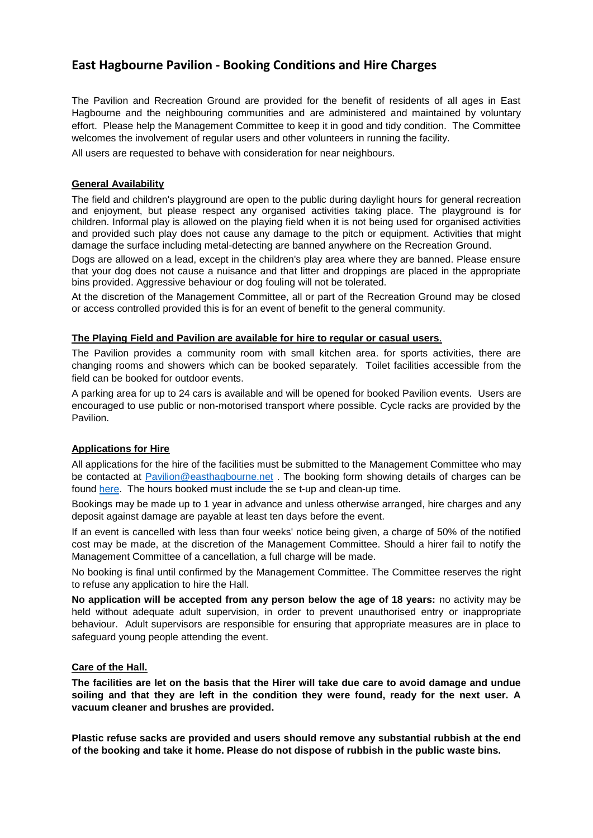# **East Hagbourne Pavilion - Booking Conditions and Hire Charges**

The Pavilion and Recreation Ground are provided for the benefit of residents of all ages in East Hagbourne and the neighbouring communities and are administered and maintained by voluntary effort. Please help the Management Committee to keep it in good and tidy condition. The Committee welcomes the involvement of regular users and other volunteers in running the facility.

All users are requested to behave with consideration for near neighbours.

# **General Availability**

The field and children's playground are open to the public during daylight hours for general recreation and enjoyment, but please respect any organised activities taking place. The playground is for children. Informal play is allowed on the playing field when it is not being used for organised activities and provided such play does not cause any damage to the pitch or equipment. Activities that might damage the surface including metal-detecting are banned anywhere on the Recreation Ground.

Dogs are allowed on a lead, except in the children's play area where they are banned. Please ensure that your dog does not cause a nuisance and that litter and droppings are placed in the appropriate bins provided. Aggressive behaviour or dog fouling will not be tolerated.

At the discretion of the Management Committee, all or part of the Recreation Ground may be closed or access controlled provided this is for an event of benefit to the general community.

#### **The Playing Field and Pavilion are available for hire to regular or casual users**.

The Pavilion provides a community room with small kitchen area. for sports activities, there are changing rooms and showers which can be booked separately. Toilet facilities accessible from the field can be booked for outdoor events.

A parking area for up to 24 cars is available and will be opened for booked Pavilion events. Users are encouraged to use public or non-motorised transport where possible. Cycle racks are provided by the Pavilion.

# **Applications for Hire**

All applications for the hire of the facilities must be submitted to the Management Committee who may be contacted at [Pavilion@easthagbourne.net](mailto:Pavilion@easthagbourne.net) . The booking form showing details of charges can be found [here.](http://www.easthagbourne.net/docs_publications/view.php?file=Miscellaneous/EHP%20booking%20form_20170522.doc) The hours booked must include the se t-up and clean-up time.

Bookings may be made up to 1 year in advance and unless otherwise arranged, hire charges and any deposit against damage are payable at least ten days before the event.

If an event is cancelled with less than four weeks' notice being given, a charge of 50% of the notified cost may be made, at the discretion of the Management Committee. Should a hirer fail to notify the Management Committee of a cancellation, a full charge will be made.

No booking is final until confirmed by the Management Committee. The Committee reserves the right to refuse any application to hire the Hall.

**No application will be accepted from any person below the age of 18 years:** no activity may be held without adequate adult supervision, in order to prevent unauthorised entry or inappropriate behaviour. Adult supervisors are responsible for ensuring that appropriate measures are in place to safeguard young people attending the event.

#### **Care of the Hall.**

**The facilities are let on the basis that the Hirer will take due care to avoid damage and undue soiling and that they are left in the condition they were found, ready for the next user. A vacuum cleaner and brushes are provided.**

**Plastic refuse sacks are provided and users should remove any substantial rubbish at the end of the booking and take it home. Please do not dispose of rubbish in the public waste bins.**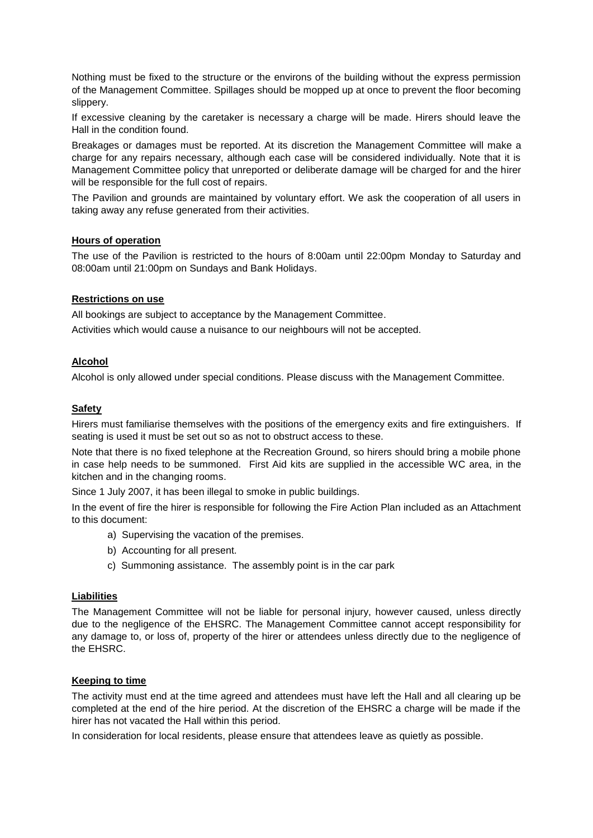Nothing must be fixed to the structure or the environs of the building without the express permission of the Management Committee. Spillages should be mopped up at once to prevent the floor becoming slippery.

If excessive cleaning by the caretaker is necessary a charge will be made. Hirers should leave the Hall in the condition found.

Breakages or damages must be reported. At its discretion the Management Committee will make a charge for any repairs necessary, although each case will be considered individually. Note that it is Management Committee policy that unreported or deliberate damage will be charged for and the hirer will be responsible for the full cost of repairs.

The Pavilion and grounds are maintained by voluntary effort. We ask the cooperation of all users in taking away any refuse generated from their activities.

#### **Hours of operation**

The use of the Pavilion is restricted to the hours of 8:00am until 22:00pm Monday to Saturday and 08:00am until 21:00pm on Sundays and Bank Holidays.

#### **Restrictions on use**

All bookings are subject to acceptance by the Management Committee.

Activities which would cause a nuisance to our neighbours will not be accepted.

#### **Alcohol**

Alcohol is only allowed under special conditions. Please discuss with the Management Committee.

#### **Safety**

Hirers must familiarise themselves with the positions of the emergency exits and fire extinguishers. If seating is used it must be set out so as not to obstruct access to these.

Note that there is no fixed telephone at the Recreation Ground, so hirers should bring a mobile phone in case help needs to be summoned. First Aid kits are supplied in the accessible WC area, in the kitchen and in the changing rooms.

Since 1 July 2007, it has been illegal to smoke in public buildings.

In the event of fire the hirer is responsible for following the Fire Action Plan included as an Attachment to this document:

- a) Supervising the vacation of the premises.
- b) Accounting for all present.
- c) Summoning assistance. The assembly point is in the car park

### **Liabilities**

The Management Committee will not be liable for personal injury, however caused, unless directly due to the negligence of the EHSRC. The Management Committee cannot accept responsibility for any damage to, or loss of, property of the hirer or attendees unless directly due to the negligence of the EHSRC.

# **Keeping to time**

The activity must end at the time agreed and attendees must have left the Hall and all clearing up be completed at the end of the hire period. At the discretion of the EHSRC a charge will be made if the hirer has not vacated the Hall within this period.

In consideration for local residents, please ensure that attendees leave as quietly as possible.